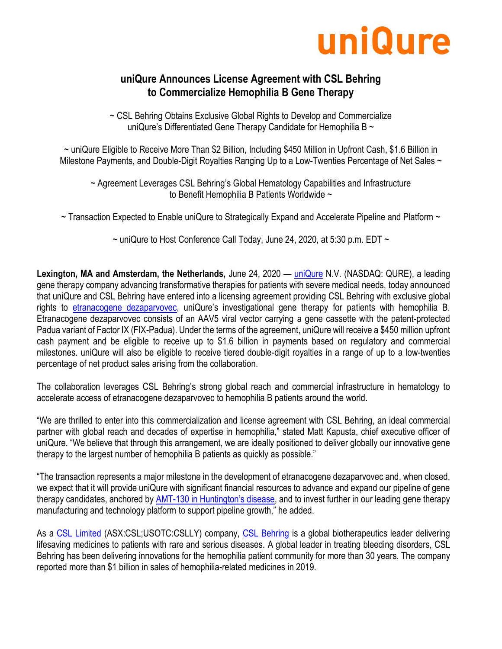

# **uniQure Announces License Agreement with CSL Behring to Commercialize Hemophilia B Gene Therapy**

~ CSL Behring Obtains Exclusive Global Rights to Develop and Commercialize uniQure's Differentiated Gene Therapy Candidate for Hemophilia B  $\sim$ 

~ uniQure Eligible to Receive More Than \$2 Billion, Including \$450 Million in Upfront Cash, \$1.6 Billion in Milestone Payments, and Double-Digit Royalties Ranging Up to a Low-Twenties Percentage of Net Sales ~

~ Agreement Leverages CSL Behring's Global Hematology Capabilities and Infrastructure to Benefit Hemophilia B Patients Worldwide ~

 $\sim$  Transaction Expected to Enable uniQure to Strategically Expand and Accelerate Pipeline and Platform  $\sim$ 

 $\sim$  uniQure to Host Conference Call Today, June 24, 2020, at 5:30 p.m. EDT  $\sim$ 

**Lexington, MA and Amsterdam, the Netherlands,** June 24, 2020 — [uniQure](http://uniqure.com/) N.V. (NASDAQ: QURE), a leading gene therapy company advancing transformative therapies for patients with severe medical needs, today announced that uniQure and CSL Behring have entered into a licensing agreement providing CSL Behring with exclusive global rights to [etranacogene dezaparvovec](http://uniqure.com/gene-therapy/hemophilia.php), uniQure's investigational gene therapy for patients with hemophilia B. Etranacogene dezaparvovec consists of an AAV5 viral vector carrying a gene cassette with the patent-protected Padua variant of Factor IX (FIX-Padua). Under the terms of the agreement, uniQure will receive a \$450 million upfront cash payment and be eligible to receive up to \$1.6 billion in payments based on regulatory and commercial milestones. uniQure will also be eligible to receive tiered double-digit royalties in a range of up to a low-twenties percentage of net product sales arising from the collaboration.

The collaboration leverages CSL Behring's strong global reach and commercial infrastructure in hematology to accelerate access of etranacogene dezaparvovec to hemophilia B patients around the world.

"We are thrilled to enter into this commercialization and license agreement with CSL Behring, an ideal commercial partner with global reach and decades of expertise in hemophilia," stated Matt Kapusta, chief executive officer of uniQure. "We believe that through this arrangement, we are ideally positioned to deliver globally our innovative gene therapy to the largest number of hemophilia B patients as quickly as possible."

"The transaction represents a major milestone in the development of etranacogene dezaparvovec and, when closed, we expect that it will provide uniQure with significant financial resources to advance and expand our pipeline of gene therapy candidates, anchored by AMT-[130 in Huntington's d](http://uniqure.com/gene-therapy/huntingtons-disease.php)isease, and to invest further in our leading gene therapy manufacturing and technology platform to support pipeline growth," he added.

As a [CSL Limited](http://www.csl.com/) (ASX:CSL;USOTC:CSLLY) company, [CSL Behring](http://www.cslbehring.com/) is a global biotherapeutics leader delivering lifesaving medicines to patients with rare and serious diseases. A global leader in treating bleeding disorders, CSL Behring has been delivering innovations for the hemophilia patient community for more than 30 years. The company reported more than \$1 billion in sales of hemophilia-related medicines in 2019.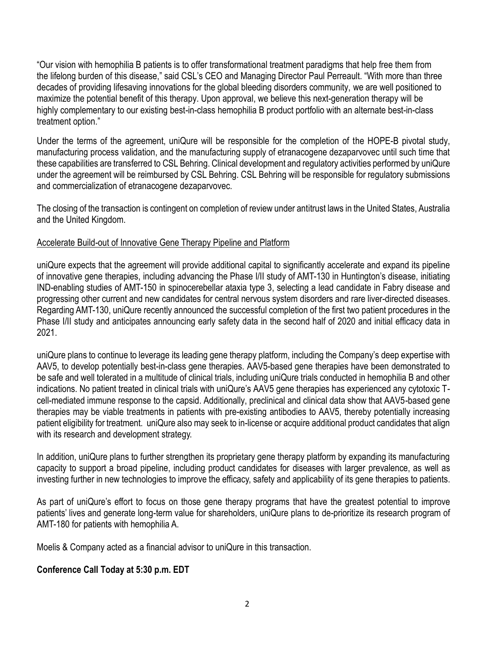"Our vision with hemophilia B patients is to offer transformational treatment paradigms that help free them from the lifelong burden of this disease," said CSL's CEO and Managing Director Paul Perreault. "With more than three decades of providing lifesaving innovations for the global bleeding disorders community, we are well positioned to maximize the potential benefit of this therapy. Upon approval, we believe this next-generation therapy will be highly complementary to our existing best-in-class hemophilia B product portfolio with an alternate best-in-class treatment option."

Under the terms of the agreement, uniQure will be responsible for the completion of the HOPE-B pivotal study, manufacturing process validation, and the manufacturing supply of etranacogene dezaparvovec until such time that these capabilities are transferred to CSL Behring. Clinical development and regulatory activities performed by uniQure under the agreement will be reimbursed by CSL Behring. CSL Behring will be responsible for regulatory submissions and commercialization of etranacogene dezaparvovec.

The closing of the transaction is contingent on completion of review under antitrust laws in the United States, Australia and the United Kingdom.

## Accelerate Build-out of Innovative Gene Therapy Pipeline and Platform

uniQure expects that the agreement will provide additional capital to significantly accelerate and expand its pipeline of innovative gene therapies, including advancing the Phase I/II study of AMT-130 in Huntington's disease, initiating IND-enabling studies of AMT-150 in spinocerebellar ataxia type 3, selecting a lead candidate in Fabry disease and progressing other current and new candidates for central nervous system disorders and rare liver-directed diseases. Regarding AMT-130, uniQure recently announced the successful completion of the first two patient procedures in the Phase I/II study and anticipates announcing early safety data in the second half of 2020 and initial efficacy data in 2021.

uniQure plans to continue to leverage its leading gene therapy platform, including the Company's deep expertise with AAV5, to develop potentially best-in-class gene therapies. AAV5-based gene therapies have been demonstrated to be safe and well tolerated in a multitude of clinical trials, including uniQure trials conducted in hemophilia B and other indications. No patient treated in clinical trials with uniQure's AAV5 gene therapies has experienced any cytotoxic Tcell-mediated immune response to the capsid. Additionally, preclinical and clinical data show that AAV5-based gene therapies may be viable treatments in patients with pre-existing antibodies to AAV5, thereby potentially increasing patient eligibility for treatment. uniQure also may seek to in-license or acquire additional product candidates that align with its research and development strategy.

In addition, uniQure plans to further strengthen its proprietary gene therapy platform by expanding its manufacturing capacity to support a broad pipeline, including product candidates for diseases with larger prevalence, as well as investing further in new technologies to improve the efficacy, safety and applicability of its gene therapies to patients.

As part of uniQure's effort to focus on those gene therapy programs that have the greatest potential to improve patients' lives and generate long-term value for shareholders, uniQure plans to de-prioritize its research program of AMT-180 for patients with hemophilia A.

Moelis & Company acted as a financial advisor to uniQure in this transaction.

## **Conference Call Today at 5:30 p.m. EDT**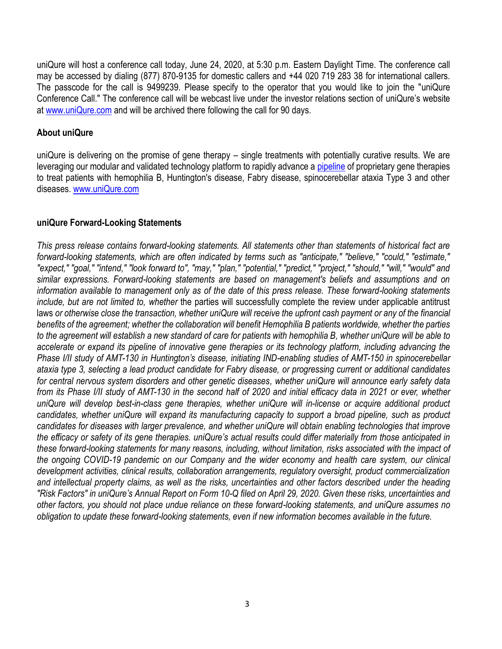uniQure will host a conference call today, June 24, 2020, at 5:30 p.m. Eastern Daylight Time. The conference call may be accessed by dialing (877) 870-9135 for domestic callers and +44 020 719 283 38 for international callers. The passcode for the call is 9499239. Please specify to the operator that you would like to join the "uniQure Conference Call." The conference call will be webcast live under the investor relations section of uniQure's website at [www.uniQure.com](http://www.uniqure.com/) and will be archived there following the call for 90 days.

### **About uniQure**

uniQure is delivering on the promise of gene therapy – single treatments with potentially curative results. We are leveraging our modular and validated technology platform to rapidly advance a [pipeline](http://uniqure.com/gene-therapy/pipeline.php) of proprietary gene therapies to treat patients with hemophilia B, Huntington's disease, Fabry disease, spinocerebellar ataxia Type 3 and other diseases. [www.uniQure.com](http://www.uniqure.com/)

#### **uniQure Forward-Looking Statements**

*This press release contains forward-looking statements. All statements other than statements of historical fact are forward-looking statements, which are often indicated by terms such as "anticipate," "believe," "could," "estimate," "expect," "goal," "intend," "look forward to", "may," "plan," "potential," "predict," "project," "should," "will," "would" and similar expressions. Forward-looking statements are based on management's beliefs and assumptions and on information available to management only as of the date of this press release. These forward-looking statements include, but are not limited to, whether* the parties will successfully complete the review under applicable antitrust laws or otherwise close the transaction, whether uniQure will receive the upfront cash payment or any of the financial *benefits of the agreement; whether the collaboration will benefit Hemophilia B patients worldwide, whether the parties to the agreement will establish a new standard of care for patients with hemophilia B, whether uniQure will be able to accelerate or expand its pipeline of innovative gene therapies or its technology platform, including advancing the Phase I/II study of AMT-130 in Huntington's disease, initiating IND-enabling studies of AMT-150 in spinocerebellar ataxia type 3, selecting a lead product candidate for Fabry disease, or progressing current or additional candidates for central nervous system disorders and other genetic diseases, whether uniQure will announce early safety data from its Phase I/II study of AMT-130 in the second half of 2020 and initial efficacy data in 2021 or ever, whether uniQure will develop best-in-class gene therapies, whether uniQure will in-license or acquire additional product candidates, whether uniQure will expand its manufacturing capacity to support a broad pipeline, such as product candidates for diseases with larger prevalence, and whether uniQure will obtain enabling technologies that improve the efficacy or safety of its gene therapies. uniQure's actual results could differ materially from those anticipated in these forward-looking statements for many reasons, including, without limitation, risks associated with the impact of the ongoing COVID-19 pandemic on our Company and the wider economy and health care system, our clinical development activities, clinical results, collaboration arrangements, regulatory oversight, product commercialization and intellectual property claims, as well as the risks, uncertainties and other factors described under the heading "Risk Factors" in uniQure's Annual Report on Form 10-Q filed on April 29, 2020. Given these risks, uncertainties and other factors, you should not place undue reliance on these forward-looking statements, and uniQure assumes no obligation to update these forward-looking statements, even if new information becomes available in the future.*